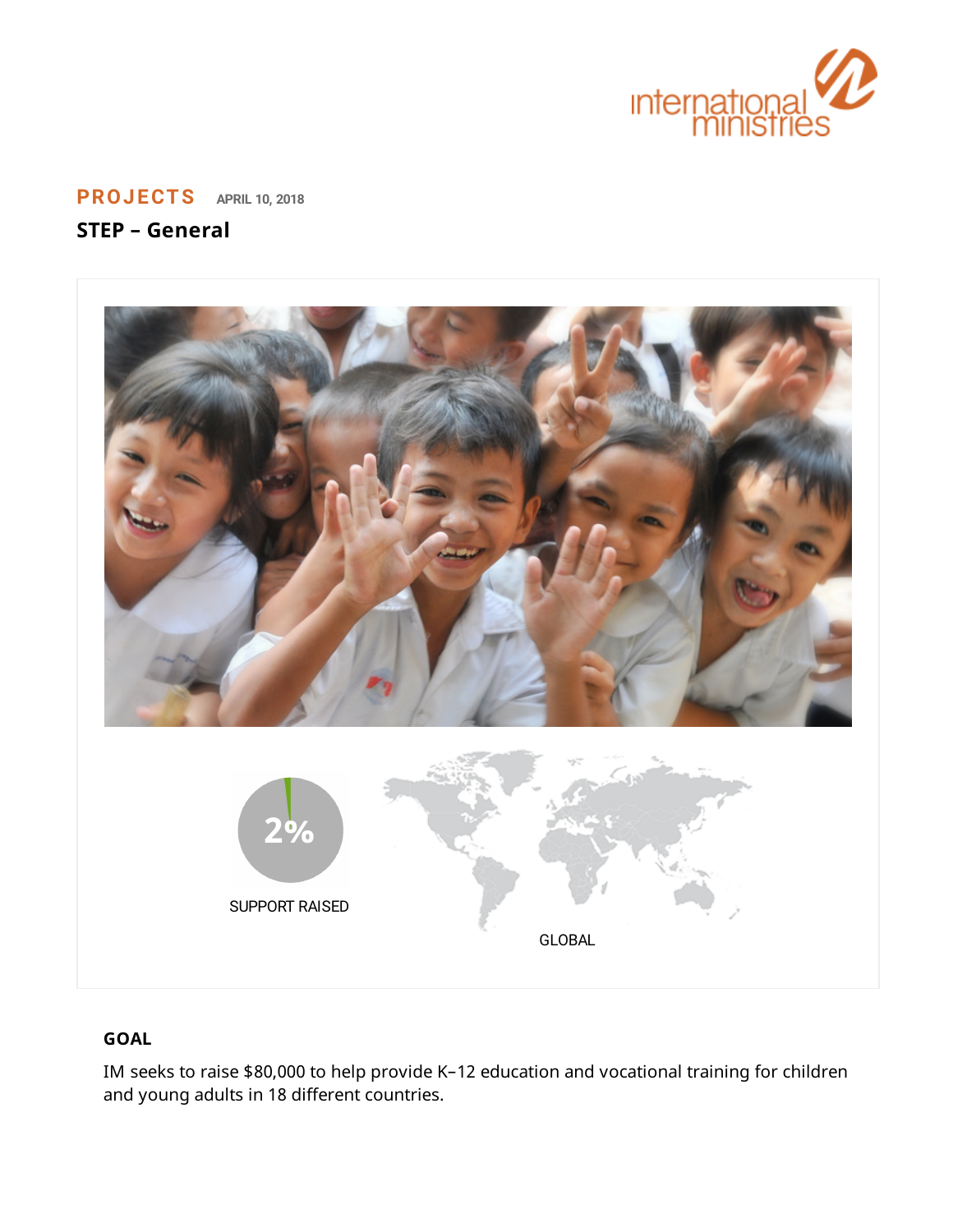

**[PROJECTS](https://www.internationalministries.org/category/projects/) APRIL 10, <sup>2018</sup>**

# **STEP – General**



## **GOAL**

IM seeks to raise \$80,000 to help provide K–12 education and vocational training for children and young adults in 18 different countries.